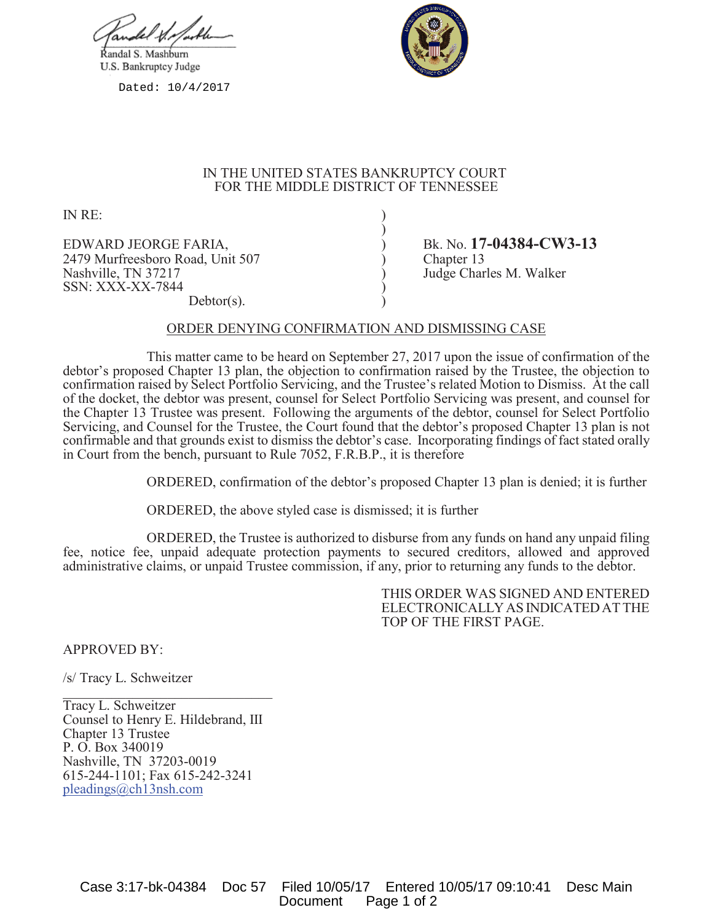Randal S. Mashburn U.S. Bankruptcy Judge

Dated: 10/4/2017



### IN THE UNITED STATES BANKRUPTCY COURT FOR THE MIDDLE DISTRICT OF TENNESSEE

IN  $RE:$ 

EDWARD JEORGE FARIA. 2479 Murfreesboro Road, Unit 507 Nashville, TN 37217 SSN: XXX-XX-7844  $Dektor(s)$ .

Bk. No. 17-04384-CW3-13 Chapter 13 Judge Charles M. Walker

### ORDER DENYING CONFIRMATION AND DISMISSING CASE

This matter came to be heard on September 27, 2017 upon the issue of confirmation of the debtor's proposed Chapter 13 plan, the objection to confirmation raised by the Trustee, the objection to confirmation raised by Select Portfolio Servicing, and the Trustee's related Motion to Dismiss. At the call of the docket, the debtor was present, counsel for Select Portfolio Servicing was present, and counsel for the Chapter 13 Trustee was present. Following the arguments of the debtor, counsel for Select Portfolio Servicing, and Counsel for the Trustee, the Court found that the debtor's proposed Chapter 13 plan is not confirmable and that grounds exist to dismiss the debtor's case. Incorporating findings of fact stated orally in Court from the bench, pursuant to Rule 7052, F.R.B.P., it is therefore

ORDERED, confirmation of the debtor's proposed Chapter 13 plan is denied; it is further

ORDERED, the above styled case is dismissed; it is further

ORDERED, the Trustee is authorized to disburse from any funds on hand any unpaid filing fee, notice fee, unpaid adequate protection payments to secured creditors, allowed and approved administrative claims, or unpaid Trustee commission, if any, prior to returning any funds to the debtor.

> THIS ORDER WAS SIGNED AND ENTERED ELECTRONICALLY AS INDICATED AT THE TOP OF THE FIRST PAGE.

**APPROVED BY:** 

/s/ Tracy L. Schweitzer

Tracy L. Schweitzer Counsel to Henry E. Hildebrand, III Chapter 13 Trustee P. O. Box 340019 Nashville, TN 37203-0019 615-244-1101; Fax 615-242-3241  $pleadings@ch13nsh.com$